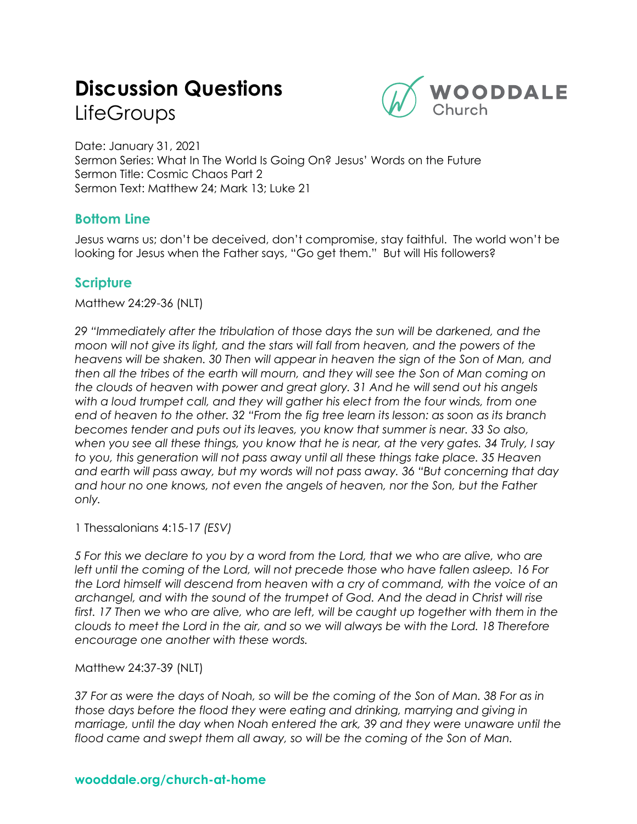# **Discussion Questions LifeGroups**



Date: January 31, 2021 Sermon Series: What In The World Is Going On? Jesus' Words on the Future Sermon Title: Cosmic Chaos Part 2 Sermon Text: Matthew 24; Mark 13; Luke 21

## **Bottom Line**

Jesus warns us; don't be deceived, don't compromise, stay faithful. The world won't be looking for Jesus when the Father says, "Go get them." But will His followers?

# **Scripture**

Matthew 24:29-36 (NLT)

*29 "Immediately after the tribulation of those days the sun will be darkened, and the moon will not give its light, and the stars will fall from heaven, and the powers of the heavens will be shaken. 30 Then will appear in heaven the sign of the Son of Man, and then all the tribes of the earth will mourn, and they will see the Son of Man coming on the clouds of heaven with power and great glory. 31 And he will send out his angels with a loud trumpet call, and they will gather his elect from the four winds, from one end of heaven to the other. 32 "From the fig tree learn its lesson: as soon as its branch becomes tender and puts out its leaves, you know that summer is near. 33 So also, when you see all these things, you know that he is near, at the very gates. 34 Truly, I say to you, this generation will not pass away until all these things take place. 35 Heaven and earth will pass away, but my words will not pass away. 36 "But concerning that day and hour no one knows, not even the angels of heaven, nor the Son, but the Father only.* 

1 Thessalonians 4:15-17 *(ESV)*

*5 For this we declare to you by a word from the Lord, that we who are alive, who are left until the coming of the Lord, will not precede those who have fallen asleep. 16 For the Lord himself will descend from heaven with a cry of command, with the voice of an archangel, and with the sound of the trumpet of God. And the dead in Christ will rise*  first. 17 Then we who are alive, who are left, will be caught up together with them in the *clouds to meet the Lord in the air, and so we will always be with the Lord. 18 Therefore encourage one another with these words.* 

Matthew 24:37-39 (NLT)

*37 For as were the days of Noah, so will be the coming of the Son of Man. 38 For as in those days before the flood they were eating and drinking, marrying and giving in marriage, until the day when Noah entered the ark, 39 and they were unaware until the flood came and swept them all away, so will be the coming of the Son of Man.*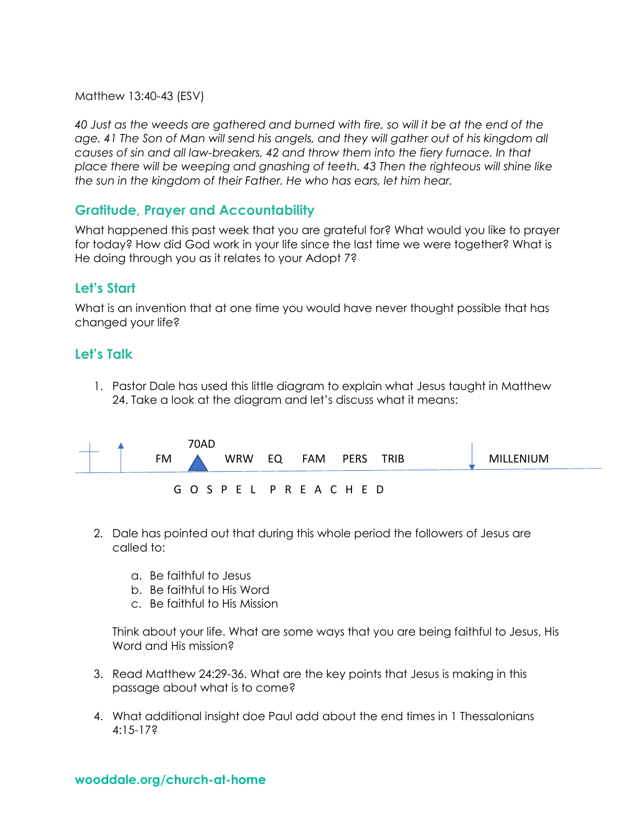Matthew 13:40-43 (ESV)

*40 Just as the weeds are gathered and burned with fire, so will it be at the end of the age. 41 The Son of Man will send his angels, and they will gather out of his kingdom all causes of sin and all law-breakers, 42 and throw them into the fiery furnace. In that place there will be weeping and gnashing of teeth. 43 Then the righteous will shine like the sun in the kingdom of their Father. He who has ears, let him hear.* 

## **Gratitude, Prayer and Accountability**

What happened this past week that you are grateful for? What would you like to prayer for today? How did God work in your life since the last time we were together? What is He doing through you as it relates to your Adopt 7?

## **Let's Start**

What is an invention that at one time you would have never thought possible that has changed your life?

#### **Let's Talk**

1. Pastor Dale has used this little diagram to explain what Jesus taught in Matthew 24. Take a look at the diagram and let's discuss what it means:

|  |    | 70AD |                             |     |           |  |           |  |
|--|----|------|-----------------------------|-----|-----------|--|-----------|--|
|  | FM |      | WRW EQ                      | FAM | PERS TRIB |  | MILLENIUM |  |
|  |    |      | G O S P E L P R E A C H E D |     |           |  |           |  |

- 2. Dale has pointed out that during this whole period the followers of Jesus are called to:
	- a. Be faithful to Jesus
	- b. Be faithful to His Word
	- c. Be faithful to His Mission

Think about your life. What are some ways that you are being faithful to Jesus, His Word and His mission?

- 3. Read Matthew 24:29-36. What are the key points that Jesus is making in this passage about what is to come?
- 4. What additional insight doe Paul add about the end times in 1 Thessalonians 4:15-17?